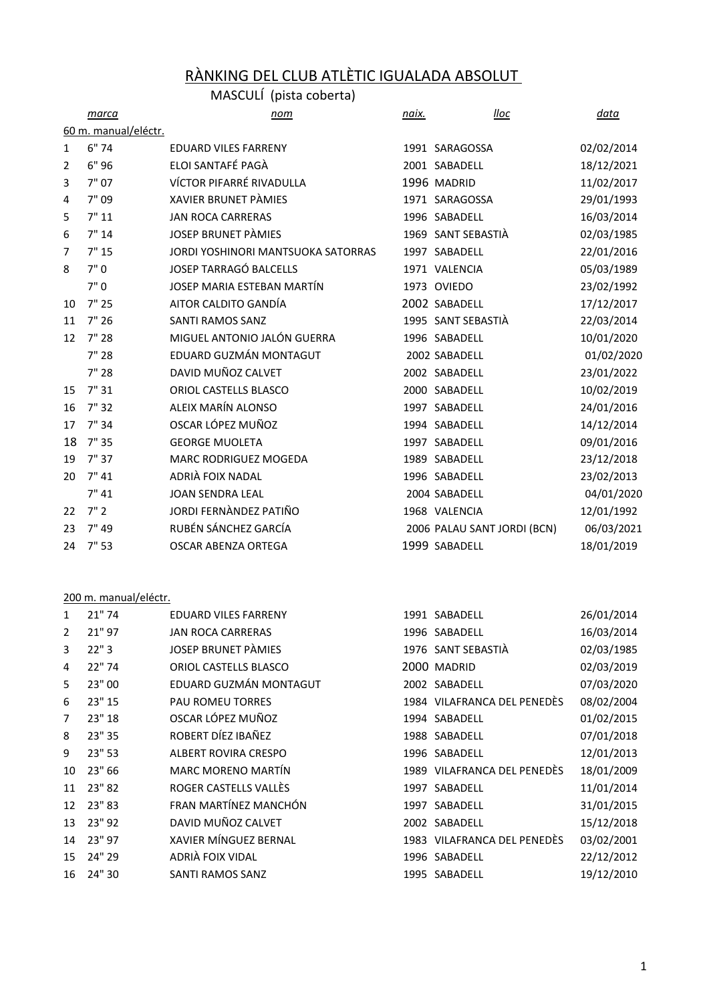# RÀNKING DEL CLUB ATLÈTIC IGUALADA ABSOLUT

|    |                      | MASCULI (pista coberta)            |              |                             |             |
|----|----------------------|------------------------------------|--------------|-----------------------------|-------------|
|    | marca                | nom                                | <u>naix.</u> | lloc                        | <u>data</u> |
|    | 60 m. manual/eléctr. |                                    |              |                             |             |
| 1  | 6"74                 | <b>EDUARD VILES FARRENY</b>        |              | 1991 SARAGOSSA              | 02/02/2014  |
| 2  | 6"96                 | ELOI SANTAFÉ PAGÀ                  |              | 2001 SABADELL               | 18/12/2021  |
| 3  | 7"07                 | VÍCTOR PIFARRÉ RIVADULLA           |              | 1996 MADRID                 | 11/02/2017  |
| 4  | 7"09                 | <b>XAVIER BRUNET PÀMIES</b>        |              | 1971 SARAGOSSA              | 29/01/1993  |
| 5  | 7"11                 | <b>JAN ROCA CARRERAS</b>           |              | 1996 SABADELL               | 16/03/2014  |
| 6  | 7"14                 | <b>JOSEP BRUNET PÀMIES</b>         |              | 1969 SANT SEBASTIÀ          | 02/03/1985  |
| 7  | 7"15                 | JORDI YOSHINORI MANTSUOKA SATORRAS |              | 1997 SABADELL               | 22/01/2016  |
| 8  | 7"0                  | <b>JOSEP TARRAGÓ BALCELLS</b>      |              | 1971 VALENCIA               | 05/03/1989  |
|    | 7"0                  | JOSEP MARIA ESTEBAN MARTÍN         |              | 1973 OVIEDO                 | 23/02/1992  |
| 10 | 7"25                 | AITOR CALDITO GANDÍA               |              | 2002 SABADELL               | 17/12/2017  |
| 11 | 7"26                 | <b>SANTI RAMOS SANZ</b>            |              | 1995 SANT SEBASTIÀ          | 22/03/2014  |
| 12 | 7"28                 | MIGUEL ANTONIO JALÓN GUERRA        |              | 1996 SABADELL               | 10/01/2020  |
|    | 7" 28                | EDUARD GUZMÁN MONTAGUT             |              | 2002 SABADELL               | 01/02/2020  |
|    | 7"28                 | DAVID MUÑOZ CALVET                 |              | 2002 SABADELL               | 23/01/2022  |
| 15 | 7"31                 | ORIOL CASTELLS BLASCO              |              | 2000 SABADELL               | 10/02/2019  |
| 16 | 7"32                 | ALEIX MARÍN ALONSO                 |              | 1997 SABADELL               | 24/01/2016  |
| 17 | 7"34                 | OSCAR LÓPEZ MUÑOZ                  |              | 1994 SABADELL               | 14/12/2014  |
| 18 | 7"35                 | <b>GEORGE MUOLETA</b>              |              | 1997 SABADELL               | 09/01/2016  |
| 19 | 7"37                 | MARC RODRIGUEZ MOGEDA              |              | 1989 SABADELL               | 23/12/2018  |
| 20 | 7" 41                | ADRIÀ FOIX NADAL                   |              | 1996 SABADELL               | 23/02/2013  |
|    | 7" 41                | <b>JOAN SENDRA LEAL</b>            |              | 2004 SABADELL               | 04/01/2020  |
| 22 | 7"2                  | JORDI FERNÀNDEZ PATIÑO             |              | 1968 VALENCIA               | 12/01/1992  |
| 23 | 7" 49                | RUBÉN SÁNCHEZ GARCÍA               |              | 2006 PALAU SANT JORDI (BCN) | 06/03/2021  |
| 24 | 7"53                 | OSCAR ABENZA ORTEGA                |              | 1999 SABADELL               | 18/01/2019  |

## 200 m. manual/eléctr.

| 1              | 21"74  | <b>EDUARD VILES FARRENY</b> | 1991 SABADELL               | 26/01/2014 |
|----------------|--------|-----------------------------|-----------------------------|------------|
| $\overline{2}$ | 21" 97 | <b>JAN ROCA CARRERAS</b>    | 1996 SABADELL               | 16/03/2014 |
| 3              | 22"3   | <b>JOSEP BRUNET PÀMIES</b>  | 1976 SANT SEBASTIÀ          | 02/03/1985 |
| 4              | 22" 74 | ORIOL CASTELLS BLASCO       | 2000 MADRID                 | 02/03/2019 |
| 5              | 23" 00 | EDUARD GUZMÁN MONTAGUT      | 2002 SABADELL               | 07/03/2020 |
| 6              | 23" 15 | <b>PAU ROMEU TORRES</b>     | 1984 VILAFRANCA DEL PENEDÈS | 08/02/2004 |
| $\overline{7}$ | 23" 18 | OSCAR LÓPEZ MUÑOZ           | 1994 SABADELL               | 01/02/2015 |
| 8              | 23" 35 | ROBERT DÍEZ IBAÑEZ          | 1988 SABADELL               | 07/01/2018 |
| 9              | 23" 53 | ALBERT ROVIRA CRESPO        | 1996 SABADELL               | 12/01/2013 |
| 10             | 23" 66 | <b>MARC MORENO MARTÍN</b>   | 1989 VILAFRANCA DEL PENEDÈS | 18/01/2009 |
| 11             | 23" 82 | ROGER CASTELLS VALLÈS       | 1997 SABADELL               | 11/01/2014 |
| 12             | 23" 83 | FRAN MARTÍNEZ MANCHÓN       | 1997 SABADELL               | 31/01/2015 |
| 13             | 23" 92 | DAVID MUÑOZ CALVET          | 2002 SABADELL               | 15/12/2018 |
| 14             | 23" 97 | XAVIER MÍNGUEZ BERNAL       | 1983 VILAFRANCA DEL PENEDÈS | 03/02/2001 |
| 15             | 24" 29 | ADRIÀ FOIX VIDAL            | 1996 SABADELL               | 22/12/2012 |
| 16             | 24" 30 | SANTI RAMOS SANZ            | 1995 SABADELL               | 19/12/2010 |
|                |        |                             |                             |            |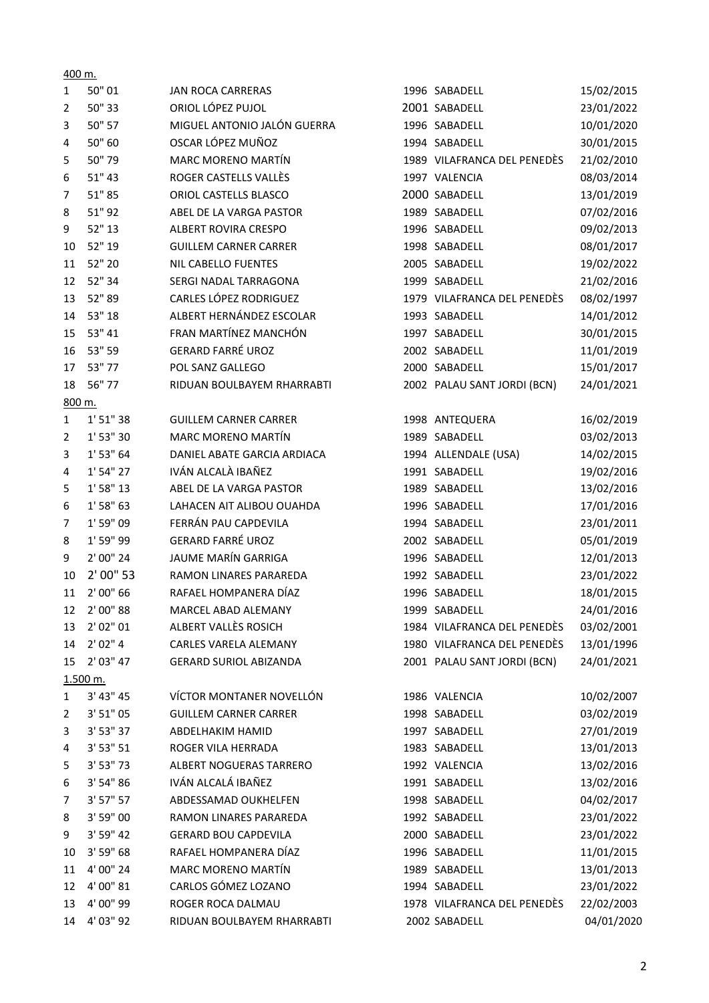| 1            | 50" 01     | <b>JAN ROCA CARRERAS</b>      | 1996 SABADELL               | 15/02/2015 |
|--------------|------------|-------------------------------|-----------------------------|------------|
| 2            | 50" 33     | ORIOL LÓPEZ PUJOL             | 2001 SABADELL               | 23/01/2022 |
| 3            | 50" 57     | MIGUEL ANTONIO JALÓN GUERRA   | 1996 SABADELL               | 10/01/2020 |
| 4            | 50" 60     | OSCAR LÓPEZ MUÑOZ             | 1994 SABADELL               | 30/01/2015 |
| 5            | 50"79      | MARC MORENO MARTÍN            | 1989 VILAFRANCA DEL PENEDÈS | 21/02/2010 |
| 6            | 51" 43     | ROGER CASTELLS VALLÈS         | 1997 VALENCIA               | 08/03/2014 |
| 7            | 51"85      | ORIOL CASTELLS BLASCO         | 2000 SABADELL               | 13/01/2019 |
| 8            | 51" 92     | ABEL DE LA VARGA PASTOR       | 1989 SABADELL               | 07/02/2016 |
| 9            | 52" 13     | <b>ALBERT ROVIRA CRESPO</b>   | 1996 SABADELL               | 09/02/2013 |
| 10           | 52" 19     | <b>GUILLEM CARNER CARRER</b>  | 1998 SABADELL               | 08/01/2017 |
| 11           | 52" 20     | <b>NIL CABELLO FUENTES</b>    | 2005 SABADELL               | 19/02/2022 |
| 12           | 52" 34     | SERGI NADAL TARRAGONA         | 1999 SABADELL               | 21/02/2016 |
| 13           | 52"89      | CARLES LÓPEZ RODRIGUEZ        | 1979 VILAFRANCA DEL PENEDÈS | 08/02/1997 |
| 14           | 53" 18     | ALBERT HERNÁNDEZ ESCOLAR      | 1993 SABADELL               | 14/01/2012 |
| 15           | 53" 41     | FRAN MARTÍNEZ MANCHÓN         | 1997 SABADELL               | 30/01/2015 |
| 16           | 53" 59     | <b>GERARD FARRÉ UROZ</b>      | 2002 SABADELL               | 11/01/2019 |
| 17           | 53" 77     | POL SANZ GALLEGO              | 2000 SABADELL               | 15/01/2017 |
| 18           | 56" 77     | RIDUAN BOULBAYEM RHARRABTI    | 2002 PALAU SANT JORDI (BCN) | 24/01/2021 |
| 800 m.       |            |                               |                             |            |
| $\mathbf{1}$ | 1' 51" 38  | <b>GUILLEM CARNER CARRER</b>  | 1998 ANTEQUERA              | 16/02/2019 |
| 2            | 1' 53" 30  | MARC MORENO MARTÍN            | 1989 SABADELL               | 03/02/2013 |
| 3            | 1' 53" 64  | DANIEL ABATE GARCIA ARDIACA   | 1994 ALLENDALE (USA)        | 14/02/2015 |
| 4            | 1' 54" 27  | IVÁN ALCALÀ IBAÑEZ            | 1991 SABADELL               | 19/02/2016 |
| 5            | 1' 58" 13  | ABEL DE LA VARGA PASTOR       | 1989 SABADELL               | 13/02/2016 |
| 6            | 1' 58" 63  | LAHACEN AIT ALIBOU OUAHDA     | 1996 SABADELL               | 17/01/2016 |
| 7            | 1' 59" 09  | FERRÁN PAU CAPDEVILA          | 1994 SABADELL               | 23/01/2011 |
| 8            | 1' 59" 99  | <b>GERARD FARRÉ UROZ</b>      | 2002 SABADELL               | 05/01/2019 |
| 9            | 2' 00" 24  | JAUME MARÍN GARRIGA           | 1996 SABADELL               | 12/01/2013 |
| 10           | 2' 00" 53  | RAMON LINARES PARAREDA        | 1992 SABADELL               | 23/01/2022 |
| 11           | 2' 00" 66  | RAFAEL HOMPANERA DÍAZ         | 1996 SABADELL               | 18/01/2015 |
| 12           | 2' 00" 88  | MARCEL ABAD ALEMANY           | 1999 SABADELL               | 24/01/2016 |
| 13           | 2' 02" 01  | ALBERT VALLÈS ROSICH          | 1984 VILAFRANCA DEL PENEDÈS | 03/02/2001 |
| 14           | 2' 02'' 4  | CARLES VARELA ALEMANY         | 1980 VILAFRANCA DEL PENEDÈS | 13/01/1996 |
| 15           | 2' 03'' 47 | <b>GERARD SURIOL ABIZANDA</b> | 2001 PALAU SANT JORDI (BCN) | 24/01/2021 |
|              | 1.500 m.   |                               |                             |            |
| $\mathbf{1}$ | 3' 43" 45  | VÍCTOR MONTANER NOVELLÓN      | 1986 VALENCIA               | 10/02/2007 |
| 2            | 3' 51'' 05 | <b>GUILLEM CARNER CARRER</b>  | 1998 SABADELL               | 03/02/2019 |
| 3            | 3' 53" 37  | <b>ABDELHAKIM HAMID</b>       | 1997 SABADELL               | 27/01/2019 |
| 4            | 3' 53" 51  | <b>ROGER VILA HERRADA</b>     | 1983 SABADELL               | 13/01/2013 |
| 5            | 3' 53" 73  | ALBERT NOGUERAS TARRERO       | 1992 VALENCIA               | 13/02/2016 |
| 6            | 3' 54" 86  | IVÁN ALCALÁ IBAÑEZ            | 1991 SABADELL               | 13/02/2016 |
| 7            | 3' 57" 57  | ABDESSAMAD OUKHELFEN          | 1998 SABADELL               | 04/02/2017 |
| 8            | 3' 59" 00  | RAMON LINARES PARAREDA        | 1992 SABADELL               | 23/01/2022 |
| 9            | 3' 59" 42  | <b>GERARD BOU CAPDEVILA</b>   | 2000 SABADELL               | 23/01/2022 |
| 10           | 3' 59" 68  | RAFAEL HOMPANERA DÍAZ         | 1996 SABADELL               | 11/01/2015 |
| 11           | 4' 00" 24  | MARC MORENO MARTÍN            | 1989 SABADELL               | 13/01/2013 |
| 12           | 4' 00" 81  | CARLOS GÓMEZ LOZANO           | 1994 SABADELL               | 23/01/2022 |
| 13           | 4' 00" 99  | ROGER ROCA DALMAU             | 1978 VILAFRANCA DEL PENEDÈS | 22/02/2003 |
| 14           | 4' 03" 92  | RIDUAN BOULBAYEM RHARRABTI    | 2002 SABADELL               | 04/01/2020 |

400 m.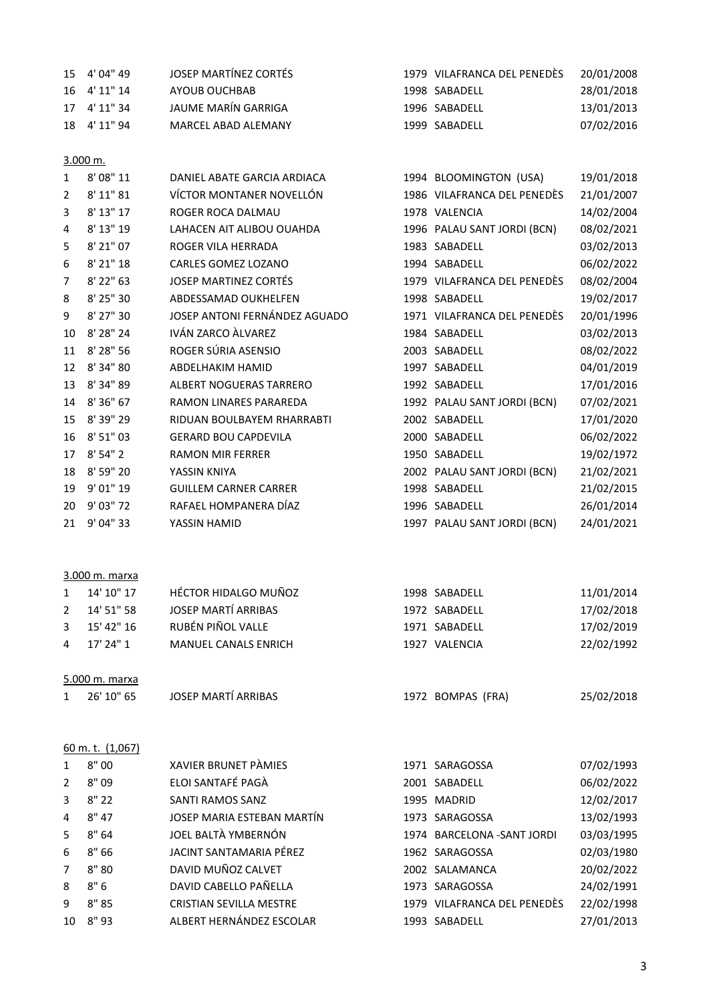| 15 4'04" 49 | JOSEP MARTÍNEZ CORTÉS | 1979 VILAFRANCA DEL PENEDÈS | 20/01/2008 |
|-------------|-----------------------|-----------------------------|------------|
| 16 4'11" 14 | AYOUB OUCHBAB         | 1998 SABADELL               | 28/01/2018 |
| 17 4'11" 34 | JAUME MARÍN GARRIGA   | 1996 SABADELL               | 13/01/2013 |
| 18 4'11" 94 | MARCEL ABAD ALEMANY   | 1999 SABADELL               | 07/02/2016 |

### 3.000 m.

| 1              | 8' 08" 11 | DANIEL ABATE GARCIA ARDIACA    | 1994 BLOOMINGTON (USA)      | 19/01/2018 |
|----------------|-----------|--------------------------------|-----------------------------|------------|
| $\overline{2}$ | 8' 11" 81 | VÍCTOR MONTANER NOVELLÓN       | 1986 VILAFRANCA DEL PENEDÈS | 21/01/2007 |
| 3              | 8' 13" 17 | ROGER ROCA DALMAU              | 1978 VALENCIA               | 14/02/2004 |
| 4              | 8' 13" 19 | LAHACEN AIT ALIBOU OUAHDA      | 1996 PALAU SANT JORDI (BCN) | 08/02/2021 |
| 5              | 8' 21" 07 | ROGER VILA HERRADA             | 1983 SABADELL               | 03/02/2013 |
| 6              | 8' 21" 18 | CARLES GOMEZ LOZANO            | 1994 SABADELL               | 06/02/2022 |
| $\overline{7}$ | 8' 22" 63 | <b>JOSEP MARTINEZ CORTÉS</b>   | 1979 VILAFRANCA DEL PENEDÈS | 08/02/2004 |
| 8              | 8' 25" 30 | ABDESSAMAD OUKHELFEN           | 1998 SABADELL               | 19/02/2017 |
| 9              | 8' 27" 30 | JOSEP ANTONI FERNÁNDEZ AGUADO  | 1971 VILAFRANCA DEL PENEDÈS | 20/01/1996 |
| 10             | 8' 28" 24 | IVÁN ZARCO ÀLVAREZ             | 1984 SABADELL               | 03/02/2013 |
| 11             | 8' 28" 56 | ROGER SÚRIA ASENSIO            | 2003 SABADELL               | 08/02/2022 |
| 12             | 8' 34" 80 | ABDELHAKIM HAMID               | 1997 SABADELL               | 04/01/2019 |
| 13             | 8' 34" 89 | <b>ALBERT NOGUERAS TARRERO</b> | 1992 SABADELL               | 17/01/2016 |
| 14             | 8' 36" 67 | <b>RAMON LINARES PARAREDA</b>  | 1992 PALAU SANT JORDI (BCN) | 07/02/2021 |
| 15             | 8' 39" 29 | RIDUAN BOULBAYEM RHARRABTI     | 2002 SABADELL               | 17/01/2020 |
| 16             | 8' 51" 03 | <b>GERARD BOU CAPDEVILA</b>    | 2000 SABADELL               | 06/02/2022 |
| 17             | 8' 54" 2  | <b>RAMON MIR FERRER</b>        | 1950 SABADELL               | 19/02/1972 |
| 18             | 8' 59" 20 | YASSIN KNIYA                   | 2002 PALAU SANT JORDI (BCN) | 21/02/2021 |
| 19             | 9' 01" 19 | <b>GUILLEM CARNER CARRER</b>   | 1998 SABADELL               | 21/02/2015 |
| 20             | 9' 03" 72 | RAFAEL HOMPANERA DÍAZ          | 1996 SABADELL               | 26/01/2014 |
| 21             | 9' 04" 33 | YASSIN HAMID                   | 1997 PALAU SANT JORDI (BCN) | 24/01/2021 |
|                |           |                                |                             |            |

### 3.000 m. marxa

| 1972 SABADELL  | 17/02/2018 |  |  |  |  |  |
|----------------|------------|--|--|--|--|--|
| 1971 SABADELL  | 17/02/2019 |  |  |  |  |  |
| 1927 VALENCIA  | 22/02/1992 |  |  |  |  |  |
| 5.000 m. marxa |            |  |  |  |  |  |
|                |            |  |  |  |  |  |

| - - - - - - - - - - - - - - - - - - |                            |                   |            |
|-------------------------------------|----------------------------|-------------------|------------|
| 1 26'10" 65                         | <b>JOSEP MARTÍ ARRIBAS</b> | 1972 BOMPAS (FRA) | 25/02/2018 |
|                                     |                            |                   |            |

#### 60 m. t. (1,067)

| $\mathbf{1}$   | 8"00  | XAVIER BRUNET PÀMIES           | 1971 SARAGOSSA              | 07/02/1993 |
|----------------|-------|--------------------------------|-----------------------------|------------|
| 2              | 8"09  | ELOI SANTAFÉ PAGÀ              | 2001 SABADELL               | 06/02/2022 |
| 3              | 8"22  | SANTI RAMOS SANZ               | 1995 MADRID                 | 12/02/2017 |
| $\overline{4}$ | 8" 47 | JOSEP MARIA ESTEBAN MARTÍN     | 1973 SARAGOSSA              | 13/02/1993 |
| 5              | 8"64  | JOEL BALTÀ YMBERNÓN            | 1974 BARCELONA - SANT JORDI | 03/03/1995 |
| 6              | 8"66  | JACINT SANTAMARIA PÉREZ        | 1962 SARAGOSSA              | 02/03/1980 |
| $7^{\circ}$    | 8"80  | DAVID MUÑOZ CALVET             | 2002 SALAMANCA              | 20/02/2022 |
| 8              | 8"6   | DAVID CABELLO PAÑELLA          | 1973 SARAGOSSA              | 24/02/1991 |
| 9              | 8"85  | <b>CRISTIAN SEVILLA MESTRE</b> | 1979 VILAFRANCA DEL PENEDÈS | 22/02/1998 |
| 10             | 8" 93 | ALBERT HERNÁNDEZ ESCOLAR       | 1993 SABADELL               | 27/01/2013 |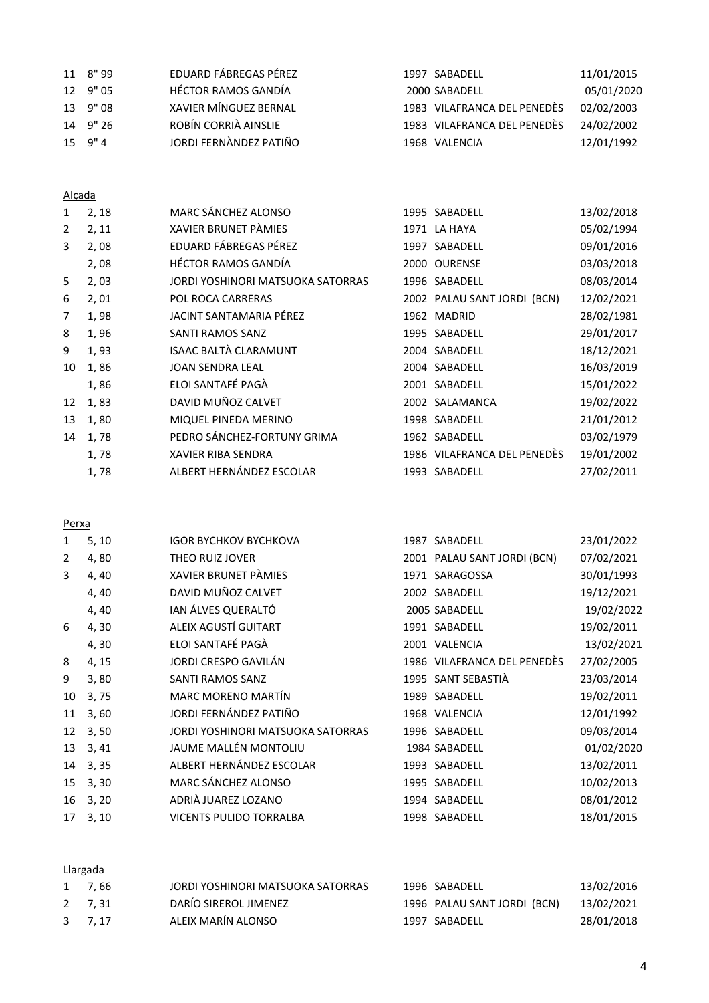| 11 8"99        | EDUARD FÁBREGAS PÉREZ  | 1997 SABADELL               | 11/01/2015 |
|----------------|------------------------|-----------------------------|------------|
| 12 9" 05       | HÉCTOR RAMOS GANDÍA    | 2000 SABADELL               | 05/01/2020 |
| 13 9"08        | XAVIER MÍNGUEZ BERNAL  | 1983 VILAFRANCA DEL PENEDÈS | 02/02/2003 |
| 14 9" 26       | ROBÍN CORRIÀ AINSLIE   | 1983 VILAFRANCA DEL PENEDÈS | 24/02/2002 |
| $15 \quad 9"4$ | JORDI FERNÀNDEZ PATIÑO | 1968 VALENCIA               | 12/01/1992 |

### Alçada

| $\mathbf{1}$   | 2, 18 | MARC SÁNCHEZ ALONSO               | 1995 SABADELL               | 13/02/2018 |
|----------------|-------|-----------------------------------|-----------------------------|------------|
| $\overline{2}$ | 2, 11 | XAVIER BRUNET PAMIES              | 1971 LA HAYA                | 05/02/1994 |
| 3              | 2,08  | EDUARD FÁBREGAS PÉREZ             | 1997 SABADELL               | 09/01/2016 |
|                | 2,08  | <b>HÉCTOR RAMOS GANDÍA</b>        | 2000 OURENSE                | 03/03/2018 |
| 5              | 2,03  | JORDI YOSHINORI MATSUOKA SATORRAS | 1996 SABADELL               | 08/03/2014 |
| 6              | 2,01  | POL ROCA CARRERAS                 | 2002 PALAU SANT JORDI (BCN) | 12/02/2021 |
| 7              | 1,98  | JACINT SANTAMARIA PÉREZ           | 1962 MADRID                 | 28/02/1981 |
| 8              | 1,96  | SANTI RAMOS SANZ                  | 1995 SABADELL               | 29/01/2017 |
| 9              | 1,93  | <b>ISAAC BALTÀ CLARAMUNT</b>      | 2004 SABADELL               | 18/12/2021 |
| 10             | 1,86  | <b>JOAN SENDRA LEAL</b>           | 2004 SABADELL               | 16/03/2019 |
|                | 1,86  | ELOI SANTAFÉ PAGÀ                 | 2001 SABADELL               | 15/01/2022 |
| 12             | 1,83  | DAVID MUÑOZ CALVET                | 2002 SALAMANCA              | 19/02/2022 |
| 13             | 1,80  | MIQUEL PINEDA MERINO              | 1998 SABADELL               | 21/01/2012 |
| 14             | 1,78  | PEDRO SÁNCHEZ-FORTUNY GRIMA       | 1962 SABADELL               | 03/02/1979 |
|                | 1,78  | <b>XAVIER RIBA SENDRA</b>         | 1986 VILAFRANCA DEL PENEDÈS | 19/01/2002 |
|                | 1,78  | ALBERT HERNÁNDEZ ESCOLAR          | 1993 SABADELL               | 27/02/2011 |

# Perxa

| 1              | 5, 10 | <b>IGOR BYCHKOV BYCHKOVA</b>      | 1987 SABADELL               | 23/01/2022 |
|----------------|-------|-----------------------------------|-----------------------------|------------|
| $\overline{2}$ | 4,80  | THEO RUIZ JOVER                   | 2001 PALAU SANT JORDI (BCN) | 07/02/2021 |
| 3              | 4, 40 | XAVIER BRUNET PÀMIES              | 1971 SARAGOSSA              | 30/01/1993 |
|                | 4,40  | DAVID MUÑOZ CALVET                | 2002 SABADELL               | 19/12/2021 |
|                | 4,40  | IAN ÁLVES QUERALTÓ                | 2005 SABADELL               | 19/02/2022 |
| 6              | 4,30  | ALEIX AGUSTÍ GUITART              | 1991 SABADELL               | 19/02/2011 |
|                | 4,30  | ELOI SANTAFÉ PAGÀ                 | 2001 VALENCIA               | 13/02/2021 |
| 8              | 4, 15 | JORDI CRESPO GAVILÁN              | 1986 VILAFRANCA DEL PENEDÈS | 27/02/2005 |
| 9              | 3,80  | SANTI RAMOS SANZ                  | 1995 SANT SEBASTIÀ          | 23/03/2014 |
| 10             | 3,75  | MARC MORENO MARTÍN                | 1989 SABADELL               | 19/02/2011 |
| 11             | 3,60  | JORDI FERNÁNDEZ PATIÑO            | 1968 VALENCIA               | 12/01/1992 |
| 12             | 3, 50 | JORDI YOSHINORI MATSUOKA SATORRAS | 1996 SABADELL               | 09/03/2014 |
| 13             | 3,41  | JAUME MALLÉN MONTOLIU             | 1984 SABADELL               | 01/02/2020 |
| 14             | 3, 35 | ALBERT HERNÁNDEZ ESCOLAR          | 1993 SABADELL               | 13/02/2011 |
| 15             | 3, 30 | MARC SÁNCHEZ ALONSO               | 1995 SABADELL               | 10/02/2013 |
| 16             | 3, 20 | ADRIÀ JUAREZ LOZANO               | 1994 SABADELL               | 08/01/2012 |
| 17             | 3, 10 | VICENTS PULIDO TORRALBA           | 1998 SABADELL               | 18/01/2015 |
|                |       |                                   |                             |            |

# Llargada

| 1 7,66   | JORDI YOSHINORI MATSUOKA SATORRAS | 1996 SABADELL               | 13/02/2016 |
|----------|-----------------------------------|-----------------------------|------------|
| 2, 7, 31 | DARÍO SIREROL JIMENEZ             | 1996 PALAU SANT JORDI (BCN) | 13/02/2021 |
| 3, 7, 17 | ALEIX MARÍN ALONSO                | 1997 SABADELL               | 28/01/2018 |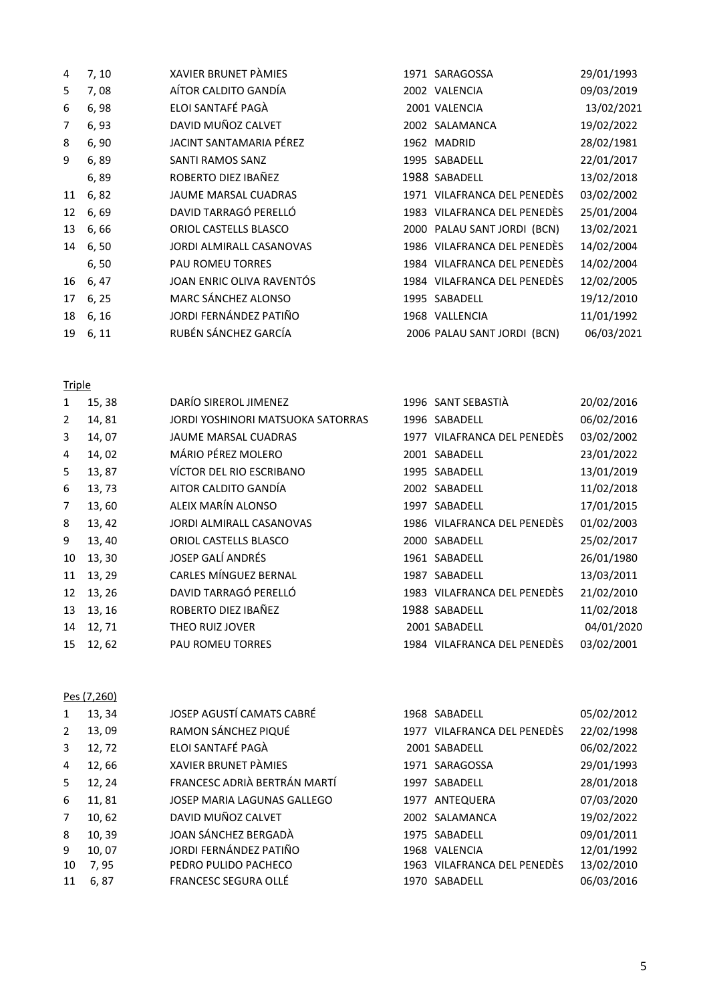| 4  | 7, 10    | XAVIER BRUNET PÀMIES        | 1971 SARAGOSSA              | 29/01/1993 |
|----|----------|-----------------------------|-----------------------------|------------|
| 5  | 7,08     | AÍTOR CALDITO GANDÍA        | 2002 VALENCIA               | 09/03/2019 |
| 6  | 6, 98    | ELOI SANTAFÉ PAGÀ           | 2001 VALENCIA               | 13/02/2021 |
| 7  | 6, 93    | DAVID MUÑOZ CALVET          | 2002 SALAMANCA              | 19/02/2022 |
| 8  | 6, 90    | JACINT SANTAMARIA PÉREZ     | 1962 MADRID                 | 28/02/1981 |
| 9  | 6,89     | SANTI RAMOS SANZ            | 1995 SABADELL               | 22/01/2017 |
|    | 6,89     | ROBERTO DIEZ IBAÑEZ         | 1988 SABADELL               | 13/02/2018 |
| 11 | 6, 82    | <b>JAUME MARSAL CUADRAS</b> | 1971 VILAFRANCA DEL PENEDÈS | 03/02/2002 |
| 12 | 6, 69    | DAVID TARRAGÓ PERELLÓ       | 1983 VILAFRANCA DEL PENEDÈS | 25/01/2004 |
| 13 | 6,66     | ORIOL CASTELLS BLASCO       | 2000 PALAU SANT JORDI (BCN) | 13/02/2021 |
| 14 | 6,50     | JORDI ALMIRALL CASANOVAS    | 1986 VILAFRANCA DEL PENEDÈS | 14/02/2004 |
|    | 6, 50    | <b>PAU ROMEU TORRES</b>     | 1984 VILAFRANCA DEL PENEDÈS | 14/02/2004 |
| 16 | 6, 47    | JOAN ENRIC OLIVA RAVENTÓS   | 1984 VILAFRANCA DEL PENEDÈS | 12/02/2005 |
| 17 | 6, 25    | MARC SÁNCHEZ ALONSO         | 1995 SABADELL               | 19/12/2010 |
| 18 | 6, 16    | JORDI FERNÁNDEZ PATIÑO      | 1968 VALLENCIA              | 11/01/1992 |
|    | 19 6, 11 | RUBÉN SÁNCHEZ GARCÍA        | 2006 PALAU SANT JORDI (BCN) | 06/03/2021 |

### Triple

| $\mathbf{1}$   | 15,38  | DARÍO SIREROL JIMENEZ             |      | 1996 SANT SEBASTIÀ          | 20/02/2016 |
|----------------|--------|-----------------------------------|------|-----------------------------|------------|
| $\overline{2}$ | 14,81  | JORDI YOSHINORI MATSUOKA SATORRAS |      | 1996 SABADELL               | 06/02/2016 |
| 3              | 14,07  | <b>JAUME MARSAL CUADRAS</b>       |      | 1977 VILAFRANCA DEL PENEDÈS | 03/02/2002 |
| 4              | 14,02  | MÁRIO PÉREZ MOLERO                |      | 2001 SABADELL               | 23/01/2022 |
| 5              | 13,87  | VÍCTOR DEL RIO ESCRIBANO          |      | 1995 SABADELL               | 13/01/2019 |
| 6              | 13, 73 | AITOR CALDITO GANDÍA              |      | 2002 SABADELL               | 11/02/2018 |
| 7              | 13,60  | ALEIX MARÍN ALONSO                | 1997 | SABADELL                    | 17/01/2015 |
| 8              | 13, 42 | JORDI ALMIRALL CASANOVAS          |      | 1986 VILAFRANCA DEL PENEDÈS | 01/02/2003 |
| 9              | 13, 40 | ORIOL CASTELLS BLASCO             | 2000 | SABADELL                    | 25/02/2017 |
| 10             | 13, 30 | JOSEP GALÍ ANDRÉS                 |      | 1961 SABADELL               | 26/01/1980 |
| 11             | 13, 29 | CARLES MÍNGUEZ BERNAL             |      | 1987 SABADELL               | 13/03/2011 |
| 12             | 13, 26 | DAVID TARRAGÓ PERELLÓ             |      | 1983 VILAFRANCA DEL PENEDÈS | 21/02/2010 |
| 13             | 13, 16 | ROBERTO DIEZ IBAÑEZ               |      | 1988 SABADELL               | 11/02/2018 |
| 14             | 12,71  | THEO RUIZ JOVER                   |      | 2001 SABADELL               | 04/01/2020 |
| 15             | 12,62  | <b>PAU ROMEU TORRES</b>           |      | 1984 VILAFRANCA DEL PENEDÈS | 03/02/2001 |
|                |        |                                   |      |                             |            |

### Pes (7,260)

| 1              | 13, 34 | JOSEP AGUSTÍ CAMATS CABRÉ    | 1968 SABADELL               | 05/02/2012 |
|----------------|--------|------------------------------|-----------------------------|------------|
| 2              | 13,09  | RAMON SÁNCHEZ PIQUÉ          | 1977 VILAFRANCA DEL PENEDÈS | 22/02/1998 |
| 3              | 12, 72 | ELOI SANTAFÉ PAGÀ            | 2001 SABADELL               | 06/02/2022 |
| 4              | 12,66  | XAVIER BRUNET PÀMIES         | 1971 SARAGOSSA              | 29/01/1993 |
| 5              | 12, 24 | FRANCESC ADRIÀ BERTRÁN MARTÍ | 1997 SABADELL               | 28/01/2018 |
| 6              | 11,81  | JOSEP MARIA LAGUNAS GALLEGO  | 1977 ANTEQUERA              | 07/03/2020 |
| $\overline{7}$ | 10,62  | DAVID MUÑOZ CALVET           | 2002 SALAMANCA              | 19/02/2022 |
| 8              | 10, 39 | JOAN SÁNCHEZ BERGADÀ         | 1975 SABADELL               | 09/01/2011 |
| 9              | 10,07  | JORDI FERNÁNDEZ PATIÑO       | 1968 VALENCIA               | 12/01/1992 |
| 10             | 7,95   | PEDRO PULIDO PACHECO         | 1963 VILAFRANCA DEL PENEDÈS | 13/02/2010 |
| 11             | 6,87   | FRANCESC SEGURA OLLÉ         | 1970 SABADELL               | 06/03/2016 |
|                |        |                              |                             |            |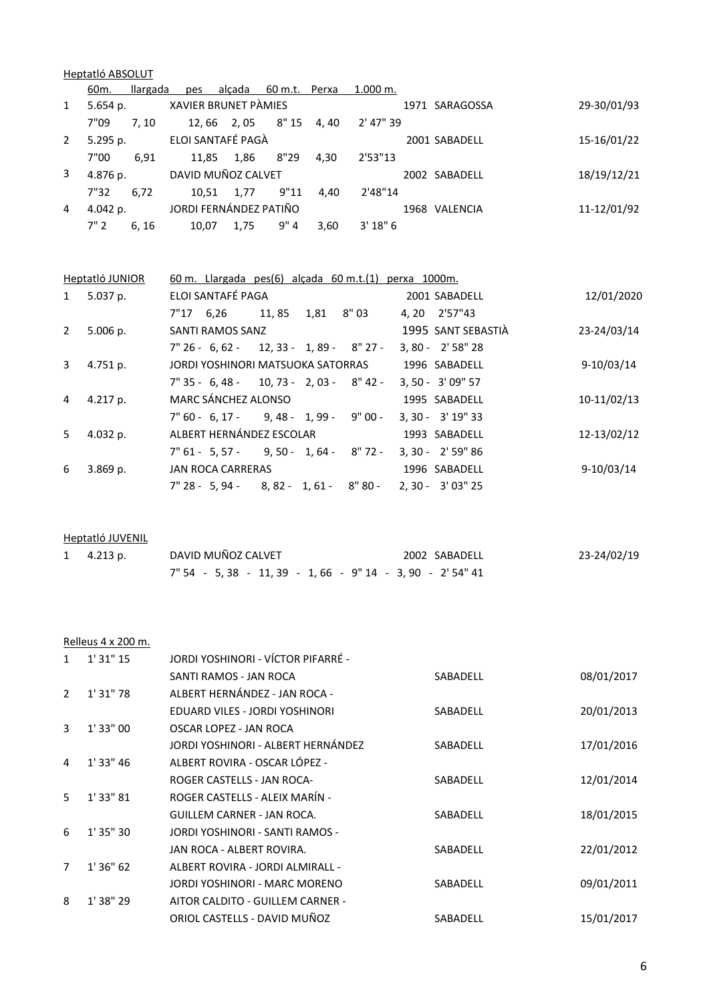|                | Heptatló ABSOLUT  |          |     |                          |                      |      |                                                      |                      |             |
|----------------|-------------------|----------|-----|--------------------------|----------------------|------|------------------------------------------------------|----------------------|-------------|
|                | 60 <sub>m</sub> . | llargada | pes |                          | alçada 60 m.t. Perxa |      | 1.000 m.                                             |                      |             |
| $\mathbf{1}$   | $5.654$ p.        |          |     | XAVIER BRUNET PÀMIES     |                      |      |                                                      | 1971 SARAGOSSA       | 29-30/01/93 |
|                | 7"09              | 7, 10    |     | 12, 66 2, 05 8" 15 4, 40 |                      |      | 2' 47" 39                                            |                      |             |
| $\overline{2}$ | 5.295 p.          |          |     | ELOI SANTAFÉ PAGÀ        |                      |      |                                                      | 2001 SABADELL        | 15-16/01/22 |
|                | 7"00              | 6,91     |     | 11,85 1,86               | 8"29                 | 4,30 | 2'53"13                                              |                      |             |
| 3              | 4.876 p.          |          |     | DAVID MUÑOZ CALVET       |                      |      |                                                      | 2002 SABADELL        | 18/19/12/21 |
|                | 7"32              | 6,72     |     | 10,51 1,77 9"11          |                      | 4,40 | 2'48"14                                              |                      |             |
| 4              | 4.042 p.          |          |     | JORDI FERNÁNDEZ PATIÑO   |                      |      |                                                      | 1968 VALENCIA        | 11-12/01/92 |
|                | 7"2               |          |     | 6, 16 10, 07 1, 75 9" 4  |                      | 3,60 | 3'18''6                                              |                      |             |
|                |                   |          |     |                          |                      |      |                                                      |                      |             |
|                |                   |          |     |                          |                      |      |                                                      |                      |             |
|                | Heptatló JUNIOR   |          |     |                          |                      |      | 60 m. Llargada pes(6) alçada 60 m.t.(1) perxa 1000m. |                      |             |
| $1 \quad$      | 5.037 p.          |          |     | ELOI SANTAFÉ PAGA        |                      |      |                                                      | 2001 SABADELL        | 12/01/2020  |
|                |                   |          |     |                          |                      |      | 7"17 6,26 11,85 1,81 8"03                            | 4, 20 2'57"43        |             |
| $\overline{2}$ | 5.006 p.          |          |     | SANTI RAMOS SANZ         |                      |      |                                                      | 1995 SANT SEBASTIÀ   | 23-24/03/14 |
|                |                   |          |     |                          |                      |      | $7''$ 26 - 6, 62 - 12, 33 - 1, 89 - 8" 27 -          | 3, 80 - 2' 58" 28    |             |
| 3              | 4.751 p.          |          |     |                          |                      |      | JORDI YOSHINORI MATSUOKA SATORRAS                    | 1996 SABADELL        | 9-10/03/14  |
|                |                   |          |     |                          |                      |      | $7''$ 35 - 6, 48 - 10, 73 - 2, 03 - 8″ 42 -          | 3, 50 - 3' 09" 57    |             |
| 4              | 4.217 p.          |          |     | MARC SÁNCHEZ ALONSO      |                      |      |                                                      | 1995 SABADELL        | 10-11/02/13 |
|                |                   |          |     |                          |                      |      | $7" 60 - 6, 17 - 9, 48 - 1, 99 - 9" 00 -$            | 3, 30 - 3' 19" 33    |             |
| 5              | 4.032 p.          |          |     |                          |                      |      | ALBERT HERNÁNDEZ ESCOLAR                             | 1993 SABADELL        | 12-13/02/12 |
|                |                   |          |     |                          |                      |      | $7" 61 - 5, 57 - 9, 50 - 1, 64 - 8" 72 -$            | $3, 30 - 2' 59'' 86$ |             |
| 6              | 3.869 p.          |          |     | <b>JAN ROCA CARRERAS</b> |                      |      |                                                      | 1996 SABADELL        | 9-10/03/14  |
|                |                   |          |     |                          |                      |      | $7''$ 28 - 5, 94 - 8, 82 - 1, 61 - 8" 80 -           | 2, 30 - 3' 03" 25    |             |

Heptatló JUVENIL

| $1$ 4.213 p. | DAVID MUÑOZ CALVET                                       | 2002 SABADELL | 23-24/02/19 |
|--------------|----------------------------------------------------------|---------------|-------------|
|              | $7" 54 - 5,38 - 11,39 - 1,66 - 9" 14 - 3,90 - 2' 54" 41$ |               |             |

Relleus 4 x 200 m.

| 1              | $1'$ 31" 15 | JORDI YOSHINORI - VÍCTOR PIFARRÉ - |          |            |
|----------------|-------------|------------------------------------|----------|------------|
|                |             | SANTI RAMOS - JAN ROCA             | SABADELL | 08/01/2017 |
| $\mathcal{P}$  | 1'31''78    | ALBERT HERNÁNDEZ - JAN ROCA -      |          |            |
|                |             | EDUARD VILES - JORDI YOSHINORI     | SABADELL | 20/01/2013 |
| 3              | 1' 33" 00   | OSCAR LOPEZ - JAN ROCA             |          |            |
|                |             | JORDI YOSHINORI - ALBERT HERNÁNDEZ | SABADELL | 17/01/2016 |
| 4              | 1'33''46    | ALBERT ROVIRA - OSCAR LÓPEZ -      |          |            |
|                |             | ROGER CASTELLS - JAN ROCA-         | SABADELL | 12/01/2014 |
| 5.             | $1'$ 33" 81 | ROGER CASTELLS - ALEIX MARÍN -     |          |            |
|                |             | GUILLEM CARNER - JAN ROCA.         | SABADELL | 18/01/2015 |
| 6              | $1'$ 35" 30 | JORDI YOSHINORI - SANTI RAMOS -    |          |            |
|                |             | JAN ROCA - ALBERT ROVIRA.          | SABADELL | 22/01/2012 |
| $\overline{7}$ | 1'36''62    | ALBERT ROVIRA - JORDI ALMIRALL -   |          |            |
|                |             | JORDI YOSHINORI - MARC MORENO      | SABADELL | 09/01/2011 |
| 8              | 1'38"29     | AITOR CALDITO - GUILLEM CARNER -   |          |            |
|                |             | ORIOL CASTELLS - DAVID MUÑOZ       | SABADELL | 15/01/2017 |